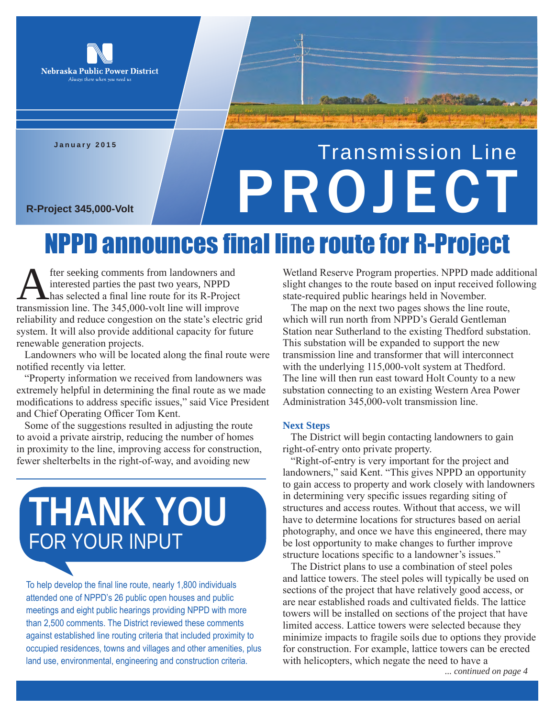

**January 2015**

# Transmission Line R-Project 345,000-Volt

### NPPD announces final line route for R-Project

**A** fter seeking comments from landowners and<br>interested parties the past two years, NPPD<br>transmission line. The 345,000-volt line will improve interested parties the past two years, NPPD has selected a final line route for its R-Project transmission line. The 345,000-volt line will improve reliability and reduce congestion on the state's electric grid system. It will also provide additional capacity for future renewable generation projects.

Landowners who will be located along the final route were notified recently via letter.

"Property information we received from landowners was extremely helpful in determining the final route as we made modifications to address specific issues," said Vice President and Chief Operating Officer Tom Kent.

Some of the suggestions resulted in adjusting the route to avoid a private airstrip, reducing the number of homes in proximity to the line, improving access for construction, fewer shelterbelts in the right-of-way, and avoiding new

## **THANK YOU** FOR YOUR INPUT

To help develop the final line route, nearly 1,800 individuals attended one of NPPD's 26 public open houses and public meetings and eight public hearings providing NPPD with more than 2,500 comments. The District reviewed these comments against established line routing criteria that included proximity to occupied residences, towns and villages and other amenities, plus land use, environmental, engineering and construction criteria.

Wetland Reserve Program properties. NPPD made additional slight changes to the route based on input received following state-required public hearings held in November.

The map on the next two pages shows the line route, which will run north from NPPD's Gerald Gentleman Station near Sutherland to the existing Thedford substation. This substation will be expanded to support the new transmission line and transformer that will interconnect with the underlying 115,000-volt system at Thedford. The line will then run east toward Holt County to a new substation connecting to an existing Western Area Power Administration 345,000-volt transmission line.

#### **Next Steps**

The District will begin contacting landowners to gain right-of-entry onto private property.

"Right-of-entry is very important for the project and landowners," said Kent. "This gives NPPD an opportunity to gain access to property and work closely with landowners in determining very specific issues regarding siting of structures and access routes. Without that access, we will have to determine locations for structures based on aerial photography, and once we have this engineered, there may be lost opportunity to make changes to further improve structure locations specific to a landowner's issues."

The District plans to use a combination of steel poles and lattice towers. The steel poles will typically be used on sections of the project that have relatively good access, or are near established roads and cultivated fields. The lattice towers will be installed on sections of the project that have limited access. Lattice towers were selected because they minimize impacts to fragile soils due to options they provide for construction. For example, lattice towers can be erected with helicopters, which negate the need to have a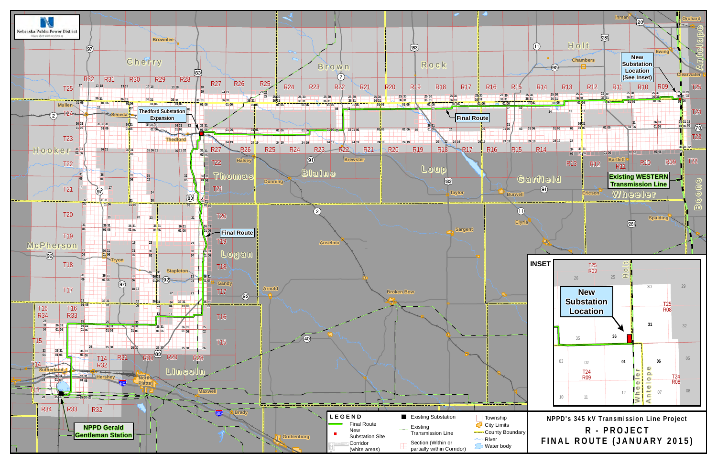